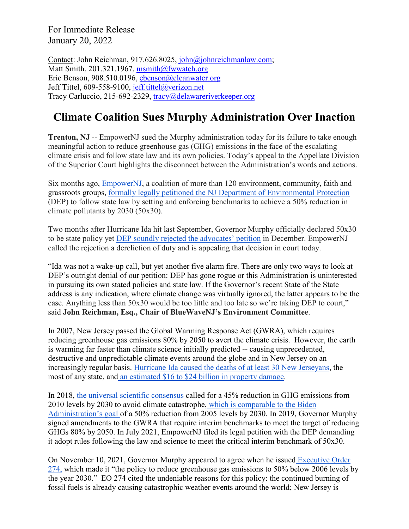For Immediate Release January 20, 2022

Contact: John Reichman, 917.626.8025, [john@johnreichmanlaw.com;](mailto:john@johnreichmanlaw.com) Matt Smith, 201.321.1967, [msmith@fwwatch.org](mailto:msmith@fwwatch.org) Eric Benson, 908.510.0196, [ebenson@cleanwater.org](mailto:ebenson@cleanwater.org)  Jeff Tittel, 609-558-9100, [jeff.tittel@verizon.net](mailto:jeff.tittel@verizon.net) Tracy Carluccio, 215-692-2329, [tracy@delawareriverkeeper.org](mailto:tracy@delawareriverkeeper.org)

## **Climate Coalition Sues Murphy Administration Over Inaction**

**Trenton, NJ** -- EmpowerNJ sued the Murphy administration today for its failure to take enough meaningful action to reduce greenhouse gas (GHG) emissions in the face of the escalating climate crisis and follow state law and its own policies. Today's appeal to the Appellate Division of the Superior Court highlights the disconnect between the Administration's words and actions.

Six months ago, [EmpowerNJ,](http://empowernewjersey.com/) a coalition of more than 120 environment, community, faith and grassroots groups, [formally legally petitioned the NJ Department of Environmental Protection](https://www.cleanwateraction.org/sites/default/files/Final%20petition%207-21-21.pdf) (DEP) to follow state law by setting and enforcing benchmarks to achieve a 50% reduction in climate pollutants by 2030 (50x30).

Two months after Hurricane Ida hit last September, Governor Murphy officially declared 50x30 to be state policy yet [DEP soundly rejected the advocates' petition](https://www.state.nj.us/dep/rules/petition/pet20210721noa.pdf) in December. EmpowerNJ called the rejection a dereliction of duty and is appealing that decision in court today.

"Ida was not a wake-up call, but yet another five alarm fire. There are only two ways to look at DEP's outright denial of our petition: DEP has gone rogue or this Administration is uninterested in pursuing its own stated policies and state law. If the Governor's recent State of the State address is any indication, where climate change was virtually ignored, the latter appears to be the case. Anything less than 50x30 would be too little and too late so we're taking DEP to court," said **John Reichman, Esq., Chair of BlueWaveNJ's Environment Committee**.

In 2007, New Jersey passed the Global Warming Response Act (GWRA), which requires reducing greenhouse gas emissions 80% by 2050 to avert the climate crisis. However, the earth is warming far faster than climate science initially predicted -- causing unprecedented, destructive and unpredictable climate events around the globe and in New Jersey on an increasingly regular basis. [Hurricane Ida caused the deaths of at least 30 New Jerseyans,](https://www.nj.com/weather/2021/09/ida-death-total-in-nj-climbs-to-30-murphy-says.html) the most of any state, and [an estimated \\$16 to \\$24 billion in property damage.](https://www.corelogic.com/press-releases/corelogic-estimates-16-billion-to-24-billion-in-insured-and-uninsured-flood-losses-in-the-northeast-from-tropical-storm-ida/)

In 2018, [the universal scientific consensus](https://www.ipcc.ch/2018/10/08/summary-for-policymakers-of-ipcc-special-report-on-global-warming-of-1-5c-approved-by-governments/) called for a 45% reduction in GHG emissions from 2010 levels by 2030 to avoid climate catastrophe, [which is comparable to the Biden](https://www.whitehouse.gov/briefing-room/statements-releases/2021/04/22/fact-sheet-president-biden-sets-2030-greenhouse-gas-pollution-reduction-target-aimed-at-creating-good-paying-union-jobs-and-securing-u-s-leadership-on-clean-energy-technologies/)  [Administration's goal o](https://www.whitehouse.gov/briefing-room/statements-releases/2021/04/22/fact-sheet-president-biden-sets-2030-greenhouse-gas-pollution-reduction-target-aimed-at-creating-good-paying-union-jobs-and-securing-u-s-leadership-on-clean-energy-technologies/)f a 50% reduction from 2005 levels by 2030. In 2019, Governor Murphy signed amendments to the GWRA that require interim benchmarks to meet the target of reducing GHGs 80% by 2050. In July 2021, EmpowerNJ filed its legal petition with the DEP demanding it adopt rules following the law and science to meet the critical interim benchmark of 50x30.

On November 10, 2021, Governor Murphy appeared to agree when he issued [Executive Order](https://nj.gov/infobank/eo/056murphy/pdf/EO-274.pdf)  [274,](https://nj.gov/infobank/eo/056murphy/pdf/EO-274.pdf) which made it "the policy to reduce greenhouse gas emissions to 50% below 2006 levels by the year 2030." EO 274 cited the undeniable reasons for this policy: the continued burning of fossil fuels is already causing catastrophic weather events around the world; New Jersey is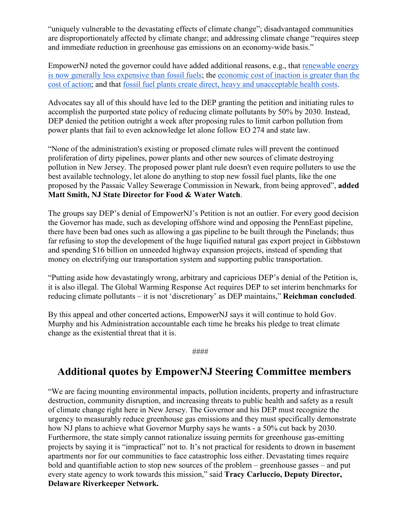"uniquely vulnerable to the devastating effects of climate change"; disadvantaged communities are disproportionately affected by climate change; and addressing climate change "requires steep and immediate reduction in greenhouse gas emissions on an economy-wide basis."

EmpowerNJ noted the governor could have added additional reasons, e.g., that [renewable energy](https://www.weforum.org/agenda/2021/07/renewables-cheapest-energy-source/#:%7E:text=Of%20the%20wind%2C%20solar%20and,of%20renewable%20energy%20is%20falling.)  [is now generally less expensive than fossil fuels;](https://www.weforum.org/agenda/2021/07/renewables-cheapest-energy-source/#:%7E:text=Of%20the%20wind%2C%20solar%20and,of%20renewable%20energy%20is%20falling.) the [economic cost of inaction is greater than the](https://www.nytimes.com/2021/04/22/climate/climate-change-economy.html#:%7E:text=That%20amounts%20to%20as%20much,a%20result%20of%20climate%20change.)  [cost of action;](https://www.nytimes.com/2021/04/22/climate/climate-change-economy.html#:%7E:text=That%20amounts%20to%20as%20much,a%20result%20of%20climate%20change.) and that [fossil fuel plants create direct, heavy and unacceptable health costs.](https://www.hsph.harvard.edu/news/hsph-in-the-news/pollution-from-fossil-fuel-combustion-deadlier-than-previously-thought/#:%7E:text=A%20new%20study%20found%20that,who%20can%20least%20afford%20it.%E2%80%9D)

Advocates say all of this should have led to the DEP granting the petition and initiating rules to accomplish the purported state policy of reducing climate pollutants by 50% by 2030. Instead, DEP denied the petition outright a week after proposing rules to limit carbon pollution from power plants that fail to even acknowledge let alone follow EO 274 and state law.

"None of the administration's existing or proposed climate rules will prevent the continued proliferation of dirty pipelines, power plants and other new sources of climate destroying pollution in New Jersey. The proposed power plant rule doesn't even require polluters to use the best available technology, let alone do anything to stop new fossil fuel plants, like the one proposed by the Passaic Valley Sewerage Commission in Newark, from being approved", **added Matt Smith, NJ State Director for Food & Water Watch**.

The groups say DEP's denial of EmpowerNJ's Petition is not an outlier. For every good decision the Governor has made, such as developing offshore wind and opposing the PennEast pipeline, there have been bad ones such as allowing a gas pipeline to be built through the Pinelands; thus far refusing to stop the development of the huge liquified natural gas export project in Gibbstown and spending \$16 billion on unneeded highway expansion projects, instead of spending that money on electrifying our transportation system and supporting public transportation.

"Putting aside how devastatingly wrong, arbitrary and capricious DEP's denial of the Petition is, it is also illegal. The Global Warming Response Act requires DEP to set interim benchmarks for reducing climate pollutants – it is not 'discretionary' as DEP maintains," **Reichman concluded**.

By this appeal and other concerted actions, EmpowerNJ says it will continue to hold Gov. Murphy and his Administration accountable each time he breaks his pledge to treat climate change as the existential threat that it is.

####

## **Additional quotes by EmpowerNJ Steering Committee members**

"We are facing mounting environmental impacts, pollution incidents, property and infrastructure destruction, community disruption, and increasing threats to public health and safety as a result of climate change right here in New Jersey. The Governor and his DEP must recognize the urgency to measurably reduce greenhouse gas emissions and they must specifically demonstrate how NJ plans to achieve what Governor Murphy says he wants - a 50% cut back by 2030. Furthermore, the state simply cannot rationalize issuing permits for greenhouse gas-emitting projects by saying it is "impractical" not to. It's not practical for residents to drown in basement apartments nor for our communities to face catastrophic loss either. Devastating times require bold and quantifiable action to stop new sources of the problem – greenhouse gasses – and put every state agency to work towards this mission," said **Tracy Carluccio, Deputy Director, Delaware Riverkeeper Network.**